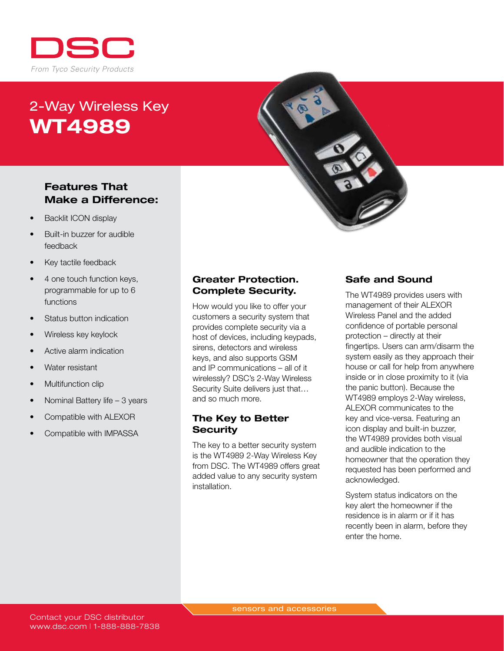

# 2-Way Wireless Key WT4989

### Features That Make a Difference:

- **Backlit ICON display**
- Built-in buzzer for audible feedback
- Key tactile feedback
- 4 one touch function keys, programmable for up to 6 functions
- Status button indication
- Wireless key keylock
- Active alarm indication
- Water resistant
- **Multifunction clip**
- Nominal Battery life  $-3$  years
- Compatible with ALEXOR
- Compatible with IMPASSA

#### Greater Protection. Complete Security.

How would you like to offer your customers a security system that provides complete security via a host of devices, including keypads, sirens, detectors and wireless keys, and also supports GSM and IP communications – all of it wirelessly? DSC's 2-Way Wireless Security Suite delivers just that… and so much more.

#### The Key to Better **Security**

The key to a better security system is the WT4989 2-Way Wireless Key from DSC. The WT4989 offers great added value to any security system installation.

#### Safe and Sound

The WT4989 provides users with management of their ALEXOR Wireless Panel and the added confidence of portable personal protection – directly at their fingertips. Users can arm/disarm the system easily as they approach their house or call for help from anywhere inside or in close proximity to it (via the panic button). Because the WT4989 employs 2-Way wireless, ALEXOR communicates to the key and vice-versa. Featuring an icon display and built-in buzzer, the WT4989 provides both visual and audible indication to the homeowner that the operation they requested has been performed and acknowledged.

System status indicators on the key alert the homeowner if the residence is in alarm or if it has recently been in alarm, before they enter the home.